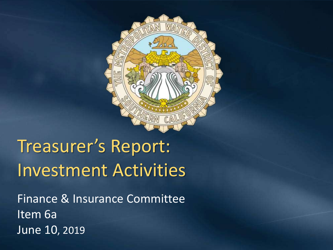

# Treasurer's Report: Investment Activities

Finance & Insurance Committee Item 6a June 10, 2019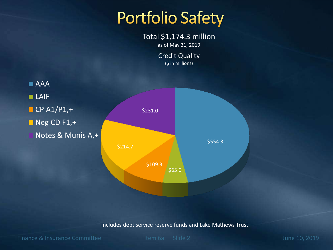## **Portfolio Safety**

Total \$1,174.3 million as of May 31, 2019

> Credit Quality (\$ in millions)



Includes debt service reserve funds and Lake Mathews Trust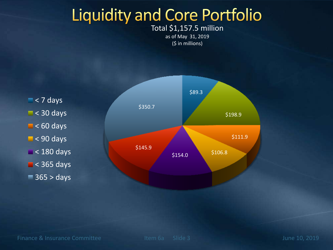# **Liquidity and Core Portfolio**

#### Total \$1,157.5 million as of May 31, 2019 (\$ in millions)

 $\blacksquare$  < 7 days  $\blacksquare$  < 30 days  $\blacksquare$  < 60 days  $\blacksquare$  < 90 days  $\blacksquare$  < 180 days  $\blacksquare$  < 365 days  $\blacksquare$  365 > days

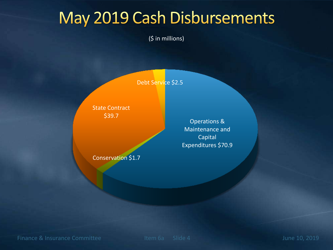## May 2019 Cash Disbursements

(\$ in millions)

Debt Service \$2.5

State Contract \$39.7

Operations & Maintenance and **Capital** Expenditures \$70.9

Conservation \$1.7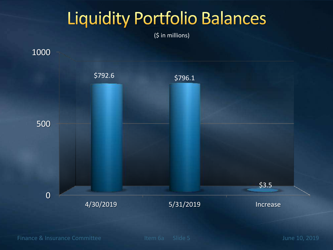# **Liquidity Portfolio Balances**

(\$ in millions)

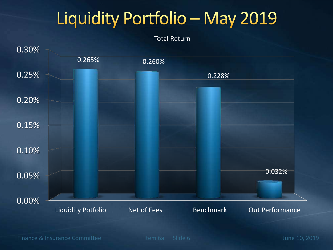# Liquidity Portfolio - May 2019



Finance & Insurance Committee Item 6a Slide 6 June 10, 2019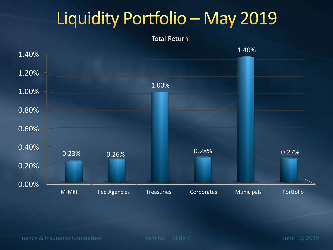# Liquidity Portfolio - May 2019

Total Return

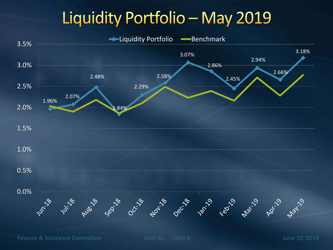## Liquidity Portfolio - May 2019



Finance & Insurance Committee Item 6a Slide 8 June 10, 2019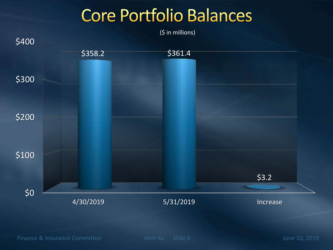# **Core Portfolio Balances**

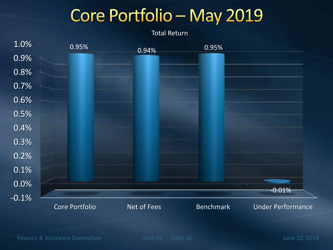# Core Portfolio - May 2019

Total Return

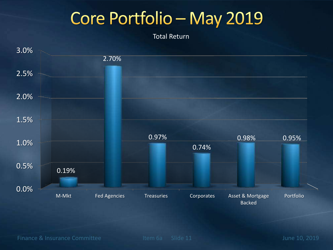# Core Portfolio - May 2019

Total Return

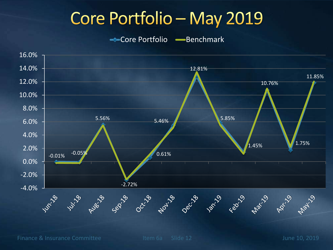# Core Portfolio - May 2019

Core Portfolio - Benchmark



Finance & Insurance Committee International Litem 6a Slide 12 June 10, 2019